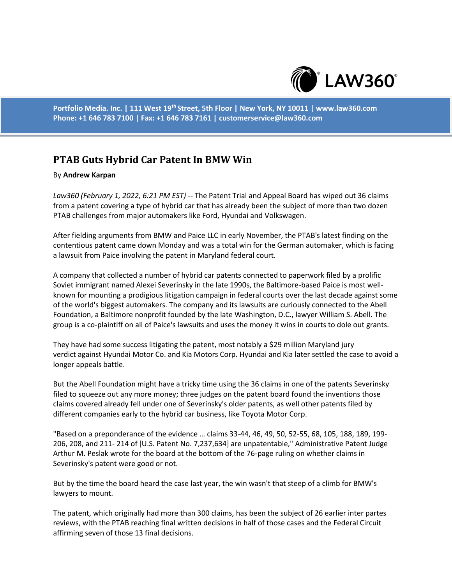

**Portfolio Media. Inc. | 111 West 19th Street, 5th Floor | New York, NY 10011 | www.law360.com Phone: +1 646 783 7100 | Fax: +1 646 783 7161 | customerservice@law360.com**

## **PTAB Guts Hybrid Car Patent In BMW Win**

## By **Andrew Karpan**

*Law360 (February 1, 2022, 6:21 PM EST)* -- The Patent Trial and Appeal Board has wiped out 36 claims from a patent covering a type of hybrid car that has already been the subject of more than two dozen PTAB challenges from major automakers like Ford, Hyundai and Volkswagen.

After fielding arguments from BMW and Paice LLC in early November, the PTAB's latest finding on the contentious patent came down Monday and was a total win for the German automaker, which is facing a lawsuit from Paice involving the patent in Maryland federal court.

A company that collected a number of hybrid car patents connected to paperwork filed by a prolific Soviet immigrant named Alexei Severinsky in the late 1990s, the Baltimore-based Paice is most wellknown for mounting a prodigious litigation campaign in federal courts over the last decade against some of the world's biggest automakers. The company and its lawsuits are curiously connected to the Abell Foundation, a Baltimore nonprofit founded by the late Washington, D.C., lawyer William S. Abell. The group is a co-plaintiff on all of Paice's lawsuits and uses the money it wins in courts to dole out grants.

They have had some success litigating the patent, most notably a \$29 million Maryland jury verdict against Hyundai Motor Co. and Kia Motors Corp. Hyundai and Kia later settled the case to avoid a longer appeals battle.

But the Abell Foundation might have a tricky time using the 36 claims in one of the patents Severinsky filed to squeeze out any more money; three judges on the patent board found the inventions those claims covered already fell under one of Severinsky's older patents, as well other patents filed by different companies early to the hybrid car business, like Toyota Motor Corp.

"Based on a preponderance of the evidence … claims 33-44, 46, 49, 50, 52-55, 68, 105, 188, 189, 199- 206, 208, and 211- 214 of [U.S. Patent No. 7,237,634] are unpatentable," Administrative Patent Judge Arthur M. Peslak wrote for the board at the bottom of the 76-page ruling on whether claims in Severinsky's patent were good or not.

But by the time the board heard the case last year, the win wasn't that steep of a climb for BMW's lawyers to mount.

The patent, which originally had more than 300 claims, has been the subject of 26 earlier inter partes reviews, with the PTAB reaching final written decisions in half of those cases and the Federal Circuit affirming seven of those 13 final decisions.